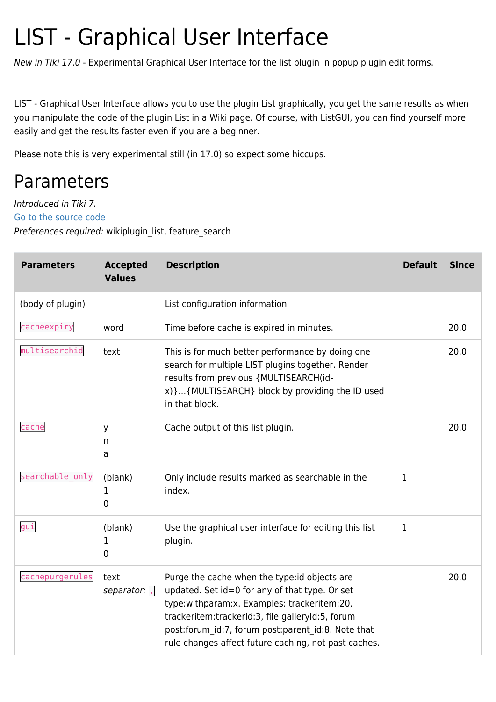# LIST - Graphical User Interface

New in Tiki 17.0 - Experimental Graphical User Interface for the list plugin in popup plugin edit forms.

LIST - Graphical User Interface allows you to use the plugin List graphically, you get the same results as when you manipulate the code of the plugin List in a Wiki page. Of course, with ListGUI, you can find yourself more easily and get the results faster even if you are a beginner.

Please note this is very experimental still (in 17.0) so expect some hiccups.

### Parameters

Introduced in Tiki 7. [Go to the source code](https://gitlab.com/tikiwiki/tiki/-/blob/master/lib/wiki-plugins/wikiplugin_list.php) Preferences required: wikiplugin\_list, feature\_search

| <b>Parameters</b> | <b>Accepted</b><br><b>Values</b> | <b>Description</b>                                                                                                                                                                                                                                                                                               | <b>Default</b> | <b>Since</b> |
|-------------------|----------------------------------|------------------------------------------------------------------------------------------------------------------------------------------------------------------------------------------------------------------------------------------------------------------------------------------------------------------|----------------|--------------|
| (body of plugin)  |                                  | List configuration information                                                                                                                                                                                                                                                                                   |                |              |
| cacheexpiry       | word                             | Time before cache is expired in minutes.                                                                                                                                                                                                                                                                         |                | 20.0         |
| multisearchid     | text                             | This is for much better performance by doing one<br>search for multiple LIST plugins together. Render<br>results from previous {MULTISEARCH(id-<br>x) } {MULTISEARCH} block by providing the ID used<br>in that block.                                                                                           |                | 20.0         |
| cache             | y<br>n<br>a                      | Cache output of this list plugin.                                                                                                                                                                                                                                                                                |                | 20.0         |
| searchable_only   | (blank)<br>1<br>0                | Only include results marked as searchable in the<br>index.                                                                                                                                                                                                                                                       | 1              |              |
| gui               | (blank)<br>1<br>0                | Use the graphical user interface for editing this list<br>plugin.                                                                                                                                                                                                                                                | 1              |              |
| cachepurgerules   | text<br>separator: $\sqrt{ }$    | Purge the cache when the type: id objects are<br>updated. Set id=0 for any of that type. Or set<br>type:withparam:x. Examples: trackeritem:20,<br>trackeritem:trackerId:3, file:galleryId:5, forum<br>post:forum_id:7, forum post:parent_id:8. Note that<br>rule changes affect future caching, not past caches. |                | 20.0         |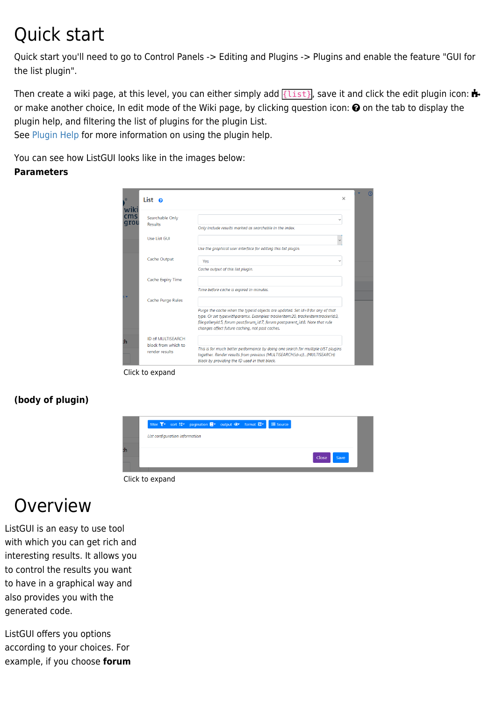# Quick start

Quick start you'll need to go to Control Panels -> Editing and Plugins -> Plugins and enable the feature "GUI for the list plugin".

Then create a wiki page, at this level, you can either simply add  $\{\text{list}\}$ , save it and click the edit plugin icon: or make another choice, In edit mode of the Wiki page, by clicking question icon:  $\Theta$  on the tab to display the plugin help, and filtering the list of plugins for the plugin List.

See [Plugin Help](https://doc.tiki.org/Plugin-Help) for more information on using the plugin help.

You can see how ListGUI looks like in the images below:

#### **Parameters**

| wik         | List o                                   |                                                                                                                                                                                                                                                                                                           | $\times$ |  |
|-------------|------------------------------------------|-----------------------------------------------------------------------------------------------------------------------------------------------------------------------------------------------------------------------------------------------------------------------------------------------------------|----------|--|
| cms<br>qrou | Searchable Only<br>Results               |                                                                                                                                                                                                                                                                                                           |          |  |
|             | Use List GUI                             | Only include results marked as searchable in the index.                                                                                                                                                                                                                                                   |          |  |
|             |                                          | Use the graphical user interface for editing this list plugin.                                                                                                                                                                                                                                            |          |  |
|             | Cache Output                             | <b>Yes</b>                                                                                                                                                                                                                                                                                                |          |  |
|             |                                          | Cache output of this list plugin.                                                                                                                                                                                                                                                                         |          |  |
|             | Cache Expiry Time                        | Time before cache is expired in minutes.                                                                                                                                                                                                                                                                  |          |  |
|             | Cache Purge Rules                        |                                                                                                                                                                                                                                                                                                           |          |  |
|             |                                          | Purge the cache when the type:id objects are updated. Set id=0 for any of that<br>type. Or set type:withparam:x. Examples: trackeritem:20, trackeritem:trackerId:3,<br>file:galleryld:5, forum post:forum_id:7, forum post:parent_id:8. Note that rule<br>changes affect future caching, not past caches. |          |  |
| ۱h          | ID of MULTISEARCH<br>block from which to |                                                                                                                                                                                                                                                                                                           |          |  |
|             | render results                           | This is for much better performance by doing one search for multiple LIST plugins<br>together. Render results from previous (MULTISEARCH(id-x))(MULTISEARCH)<br>block by providing the ID used in that block.                                                                                             |          |  |

Click to expand

### **(body of plugin)**



#### Click to expand

## Overview

ListGUI is an easy to use tool with which you can get rich and interesting results. It allows you to control the results you want to have in a graphical way and also provides you with the generated code.

ListGUI offers you options according to your choices. For example, if you choose **forum**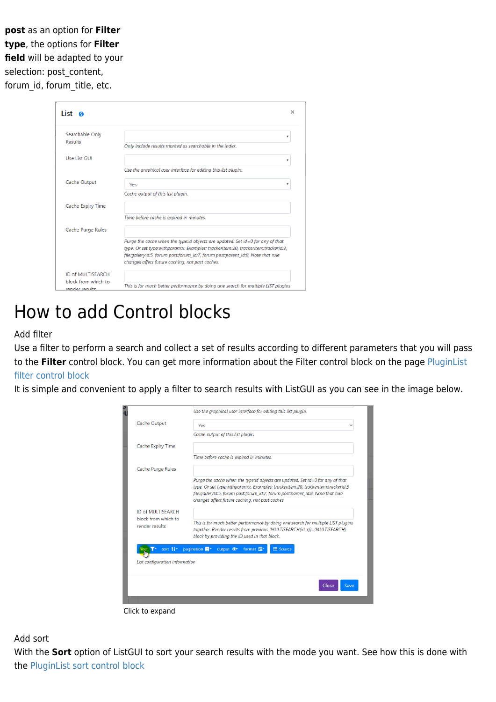**post** as an option for **Filter type**, the options for **Filter field** will be adapted to your selection: post\_content, forum\_id, forum\_title, etc.

| List o                                |                                                                                                                                                                                                                                                                                                           |
|---------------------------------------|-----------------------------------------------------------------------------------------------------------------------------------------------------------------------------------------------------------------------------------------------------------------------------------------------------------|
| Searchable Only                       | $\overline{\mathbf{v}}$                                                                                                                                                                                                                                                                                   |
| <b>Results</b>                        | Only include results marked as searchable in the index.                                                                                                                                                                                                                                                   |
| Use List GUI                          | $\overline{\mathbf{v}}$                                                                                                                                                                                                                                                                                   |
|                                       | Use the araphical user interface for editing this list plugin.                                                                                                                                                                                                                                            |
| Cache Output                          | <b>Yes</b><br>v                                                                                                                                                                                                                                                                                           |
|                                       | Cache output of this list plugin.                                                                                                                                                                                                                                                                         |
| Cache Expiry Time                     |                                                                                                                                                                                                                                                                                                           |
|                                       | Time before cache is expired in minutes.                                                                                                                                                                                                                                                                  |
| Cache Purge Rules                     |                                                                                                                                                                                                                                                                                                           |
|                                       | Purge the cache when the type:id objects are updated. Set id=0 for any of that<br>type. Or set type:withparam:x. Examples: trackeritem:20, trackeritem:trackerId:3,<br>file:galleryld:5, forum post:forum_id:7, forum post:parent_id:8. Note that rule<br>changes affect future caching, not past caches. |
| <b>ID of MULTISEARCH</b>              |                                                                                                                                                                                                                                                                                                           |
| block from which to<br>render results | This is for much better performance by doing one search for multiple LIST plugins                                                                                                                                                                                                                         |

# How to add Control blocks

#### Add filter

Use a filter to perform a search and collect a set of results according to different parameters that you will pass to the **Filter** control block. You can get more information about the Filter control block on the page [PluginList](https://doc.tiki.org/PluginList-filter-control-block) [filter control block](https://doc.tiki.org/PluginList-filter-control-block)

It is simple and convenient to apply a filter to search results with ListGUI as you can see in the image below.

| Cache Output                          | Yes                                                                                                                                                                                                           |
|---------------------------------------|---------------------------------------------------------------------------------------------------------------------------------------------------------------------------------------------------------------|
|                                       | Cache output of this list plugin.                                                                                                                                                                             |
| Cache Expiry Time                     |                                                                                                                                                                                                               |
|                                       | Time before cache is expired in minutes.                                                                                                                                                                      |
| Cache Purge Rules                     |                                                                                                                                                                                                               |
|                                       | Purge the cache when the type:id objects are updated. Set id=0 for any of that<br>type. Or set type:withparam:x. Examples: trackeritem:20, trackeritem:trackerId:3,                                           |
|                                       | file:galleryId:5, forum post:forum_id:7, forum post:parent_id:8. Note that rule<br>changes affect future caching, not past caches.                                                                            |
| ID of MULTISEARCH                     |                                                                                                                                                                                                               |
| block from which to<br>render results | This is for much better performance by doing one search for multiple LIST plugins<br>together. Render results from previous {MULTISEARCH(id-x)}{MULTISEARCH}<br>block by providing the ID used in that block. |
| sort 1 <sup>4</sup>                   | E Source<br>pagination <b>E</b><br>output <sup>o</sup><br>format E                                                                                                                                            |
|                                       |                                                                                                                                                                                                               |
| List configuration information        |                                                                                                                                                                                                               |
|                                       | Save<br>Close                                                                                                                                                                                                 |



Add sort

With the **Sort** option of ListGUI to sort your search results with the mode you want. See how this is done with the [PluginList sort control block](https://doc.tiki.org/PluginList-sort-control-block)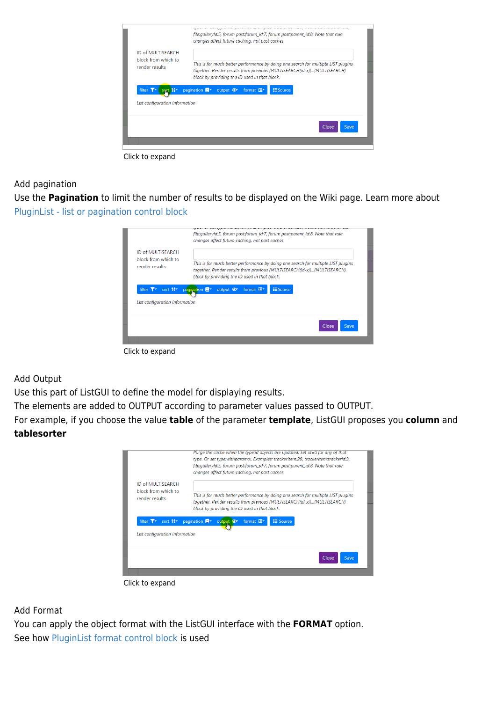

Click to expand

#### Add pagination

Use the **Pagination** to limit the number of results to be displayed on the Wiki page. Learn more about [PluginList - list or pagination control block](https://doc.tiki.org/PluginList-pagination-or-list-control-block)

|                                                            | file:galleryld:5, forum post:forum id:7, forum post:parent id:8. Note that rule<br>changes affect future caching, not past caches.                                                                            |
|------------------------------------------------------------|---------------------------------------------------------------------------------------------------------------------------------------------------------------------------------------------------------------|
| ID of MULTISEARCH<br>block from which to<br>render results | This is for much better performance by doing one search for multiple LIST plugins<br>together. Render results from previous {MULTISEARCH(id-x)}{MULTISEARCH}<br>block by providing the ID used in that block. |
| filter T <sup>*</sup><br>List configuration information    | sort 1 <sup>2</sup> pagination<br><b>ESource</b><br>output $\bullet$ format $\Xi$                                                                                                                             |
|                                                            | Close<br>Save                                                                                                                                                                                                 |
| Click to expand                                            |                                                                                                                                                                                                               |

Add Output

Use this part of ListGUI to define the model for displaying results.

The elements are added to OUTPUT according to parameter values passed to OUTPUT.

For example, if you choose the value **table** of the parameter **template**, ListGUI proposes you **column** and **tablesorter**

|                                | Purge the cache when the type:id objects are updated. Set id=0 for any of that<br>type. Or set type:withparam:x. Examples: trackeritem:20, trackeritem:trackerId:3,<br>file:galleryId:5, forum post:forum_id:7, forum post:parent_id:8. Note that rule<br>changes affect future caching, not past caches. |  |  |
|--------------------------------|-----------------------------------------------------------------------------------------------------------------------------------------------------------------------------------------------------------------------------------------------------------------------------------------------------------|--|--|
| ID of MULTISEARCH              | This is for much better performance by doing one search for multiple LIST plugins                                                                                                                                                                                                                         |  |  |
| block from which to            | together. Render results from previous {MULTISEARCH(id-x)}{MULTISEARCH}                                                                                                                                                                                                                                   |  |  |
| render results                 | block by providing the ID used in that block.                                                                                                                                                                                                                                                             |  |  |
| sort $12$ <sup>*</sup>         | E Source                                                                                                                                                                                                                                                                                                  |  |  |
| filter T <sup>*</sup>          | pagination <b>E</b> <sup>*</sup> output $\Phi$ <sup>*</sup>                                                                                                                                                                                                                                               |  |  |
| List configuration information | format 厘*                                                                                                                                                                                                                                                                                                 |  |  |
|                                | Close<br>Save                                                                                                                                                                                                                                                                                             |  |  |

Click to expand

Add Format

You can apply the object format with the ListGUI interface with the **FORMAT** option. See how [PluginList format control block](https://doc.tiki.org/PluginList-format-control-block) is used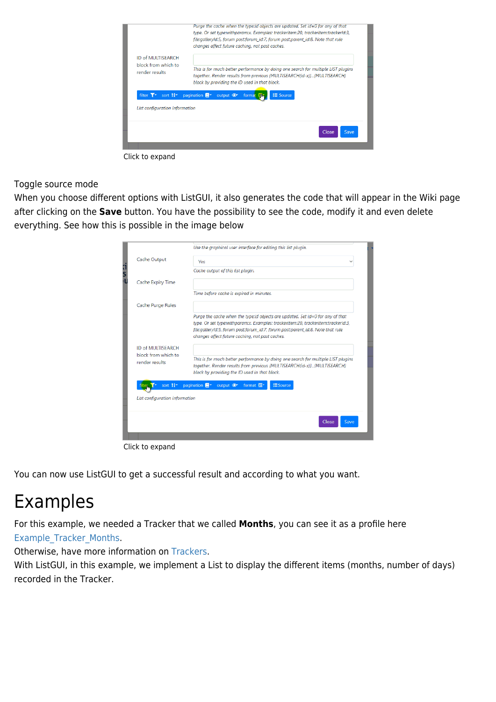

Click to expand

Toggle source mode

When you choose different options with ListGUI, it also generates the code that will appear in the Wiki page after clicking on the **Save** button. You have the possibility to see the code, modify it and even delete everything. See how this is possible in the image below

|         |                                       | Use the graphical user interface for editing this list plugin.                                                                                                                                                                                                                                            |
|---------|---------------------------------------|-----------------------------------------------------------------------------------------------------------------------------------------------------------------------------------------------------------------------------------------------------------------------------------------------------------|
|         | Cache Output                          | Yes                                                                                                                                                                                                                                                                                                       |
| ו!<br>ו |                                       | Cache output of this list plugin.                                                                                                                                                                                                                                                                         |
|         | Cache Expiry Time                     |                                                                                                                                                                                                                                                                                                           |
|         |                                       | Time before cache is expired in minutes.                                                                                                                                                                                                                                                                  |
|         | Cache Purge Rules                     |                                                                                                                                                                                                                                                                                                           |
|         |                                       | Purge the cache when the type:id objects are updated. Set id=0 for any of that<br>type. Or set type:withparam:x. Examples: trackeritem:20, trackeritem:trackerId:3,<br>file:galleryId:5, forum post:forum_id:7, forum post:parent_id:8. Note that rule<br>changes affect future caching, not past caches. |
|         | ID of MULTISEARCH                     |                                                                                                                                                                                                                                                                                                           |
|         | block from which to<br>render results | This is for much better performance by doing one search for multiple LIST plugins<br>together. Render results from previous {MULTISEARCH(id-x)}{MULTISEARCH}<br>block by providing the ID used in that block.                                                                                             |
|         |                                       | sort <sup>14</sup> pagination <sup>-</sup> output <sup>o</sup><br>format E*<br><b>ESource</b>                                                                                                                                                                                                             |
|         | List configuration information        |                                                                                                                                                                                                                                                                                                           |
|         |                                       |                                                                                                                                                                                                                                                                                                           |
|         |                                       | Clos∈<br>Save                                                                                                                                                                                                                                                                                             |
|         |                                       |                                                                                                                                                                                                                                                                                                           |

Click to expand

You can now use ListGUI to get a successful result and according to what you want.

# Examples

For this example, we needed a Tracker that we called **Months**, you can see it as a profile here [Example\\_Tracker\\_Months.](https://profiles.tiki.org/Example_Tracker_Months)

Otherwise, have more information on [Trackers.](https://doc.tiki.org/Trackers)

With ListGUI, in this example, we implement a List to display the different items (months, number of days) recorded in the Tracker.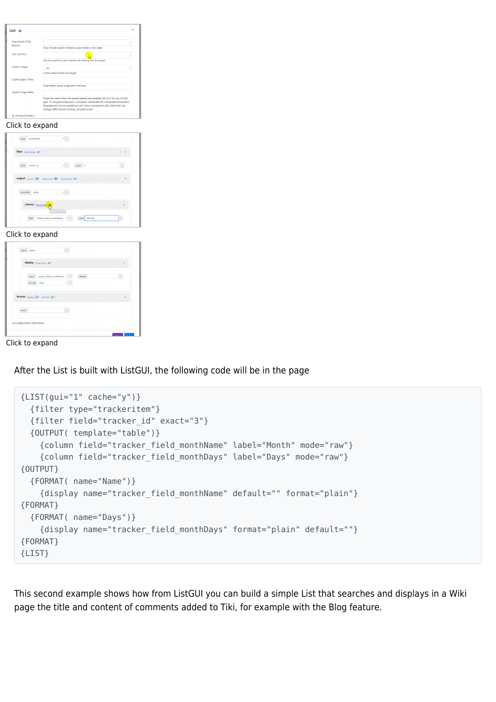| Searchable Only                             |                                                                                                                                                                                                                                                                                                           |
|---------------------------------------------|-----------------------------------------------------------------------------------------------------------------------------------------------------------------------------------------------------------------------------------------------------------------------------------------------------------|
| <b>Results</b>                              | Only include results marked as searchable in the index.                                                                                                                                                                                                                                                   |
| <b>Use List GUI</b>                         |                                                                                                                                                                                                                                                                                                           |
|                                             | D                                                                                                                                                                                                                                                                                                         |
|                                             | Use the graphical user interface for editing this list plugin.                                                                                                                                                                                                                                            |
| Cache Output                                | Yes                                                                                                                                                                                                                                                                                                       |
|                                             | Cache output of this list plugin.                                                                                                                                                                                                                                                                         |
| Cache Expiry Time                           |                                                                                                                                                                                                                                                                                                           |
|                                             | Time before cache is expired in minutes.                                                                                                                                                                                                                                                                  |
| Cache Purge Rules                           |                                                                                                                                                                                                                                                                                                           |
|                                             | Purge the cache when the type:id objects are updated. Set id=0 for any of that<br>type. Or set type:withparam:x. Examples: trackeritem:20, trackeritem:trackerId:3,<br>file:galleryld:5, forum post:forum_id:7, forum post:parent_id:8. Note that rule<br>changes affect future caching, not past caches. |
|                                             |                                                                                                                                                                                                                                                                                                           |
| <b>ID of MULTISEARCH</b><br>Click to expand |                                                                                                                                                                                                                                                                                                           |
| trackeritem<br>type                         | $\sqrt{x}$                                                                                                                                                                                                                                                                                                |
|                                             |                                                                                                                                                                                                                                                                                                           |
| filter Parameters +*                        |                                                                                                                                                                                                                                                                                                           |
|                                             |                                                                                                                                                                                                                                                                                                           |
| field<br>tracker id                         | $\vee$ .<br>exact 3                                                                                                                                                                                                                                                                                       |
|                                             |                                                                                                                                                                                                                                                                                                           |
|                                             | output column Dr tablesorter Br Parameters +                                                                                                                                                                                                                                                              |
| template<br>table                           |                                                                                                                                                                                                                                                                                                           |

#### Click to expand

|      | display Parameters +*                    |   |         | $\times$   |
|------|------------------------------------------|---|---------|------------|
|      | tracker_field_monthName v x<br>name      |   | default | $^{\star}$ |
|      | format<br>plain                          | × |         |            |
|      |                                          |   |         |            |
|      | format display $\Box$ wild text $\Box$ * |   |         | $\times$   |
|      |                                          |   |         |            |
| name |                                          | k |         |            |
|      |                                          |   |         |            |

Click to expand

After the List is built with ListGUI, the following code will be in the page

```
{LIST(gui="1" cache="y")}
   {filter type="trackeritem"}
   {filter field="tracker_id" exact="3"}
   {OUTPUT( template="table")}
     {column field="tracker_field_monthName" label="Month" mode="raw"}
     {column field="tracker_field_monthDays" label="Days" mode="raw"}
{OUTPUT}
   {FORMAT( name="Name")}
     {display name="tracker_field_monthName" default="" format="plain"}
{FORMAT}
   {FORMAT( name="Days")}
     {display name="tracker_field_monthDays" format="plain" default=""}
{FORMAT}
{LIST}
```
This second example shows how from ListGUI you can build a simple List that searches and displays in a Wiki page the title and content of comments added to Tiki, for example with the Blog feature.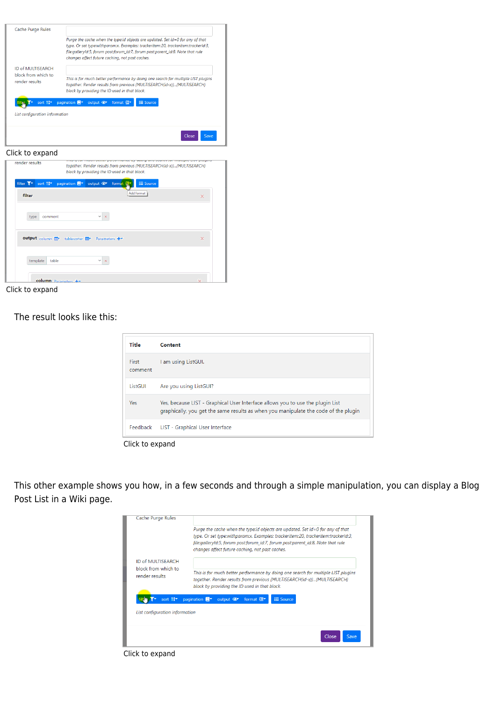| Cache Purge Rules                            |                                                                                                                                    |
|----------------------------------------------|------------------------------------------------------------------------------------------------------------------------------------|
|                                              | Purge the cache when the type:id objects are updated. Set id=0 for any of that                                                     |
|                                              | type. Or set type:withparam:x. Examples: trackeritem:20, trackeritem:trackerId:3,                                                  |
|                                              | file:galleryld:5, forum post:forum_id:7, forum post:parent_id:8. Note that rule<br>changes affect future caching, not past caches. |
|                                              |                                                                                                                                    |
| ID of MULTISEARCH                            |                                                                                                                                    |
| block from which to<br>render results.       | This is for much better performance by doing one search for multiple LIST plugins                                                  |
|                                              | together. Render results from previous {MULTISEARCH(id-x)}{MULTISEARCH}                                                            |
|                                              | block by providing the ID used in that block.                                                                                      |
| sort 1 <sup>4</sup>                          | <b>IE</b> Source<br>pagination <b>B</b><br>output $\bullet$<br>format 图*                                                           |
|                                              |                                                                                                                                    |
| List configuration information               |                                                                                                                                    |
|                                              |                                                                                                                                    |
|                                              |                                                                                                                                    |
|                                              | Close<br>Save                                                                                                                      |
|                                              |                                                                                                                                    |
| Click to expand                              |                                                                                                                                    |
| render results                               | maan better performance by aborg one bearen for mattiple cros plages                                                               |
|                                              | together. Render results from previous (MULTISEARCH(id-x))(MULTISEARCH)                                                            |
|                                              | block by providing the ID used in that block.                                                                                      |
| filter T <sup>*</sup><br>sort 1 <sup>4</sup> | output <sup>o</sup><br><b>E</b> Source<br>pagination <b>目</b><br>format                                                            |
|                                              | Add format                                                                                                                         |
| filter                                       | ×                                                                                                                                  |
|                                              |                                                                                                                                    |
| comment<br>type                              |                                                                                                                                    |
|                                              |                                                                                                                                    |
|                                              |                                                                                                                                    |
|                                              |                                                                                                                                    |
|                                              |                                                                                                                                    |
| output column II                             | tablesorter <b>⊞</b> Parameters +<br>×                                                                                             |
|                                              |                                                                                                                                    |
| template<br>table                            | $\boldsymbol{\times}$                                                                                                              |

column Click to expand

The result looks like this:

| Title                   | Content                                                                                                                                                               |
|-------------------------|-----------------------------------------------------------------------------------------------------------------------------------------------------------------------|
| <b>First</b><br>comment | I am using ListGUI.                                                                                                                                                   |
| ListGUI                 | Are you using ListGUI?                                                                                                                                                |
| Yes                     | Yes, because LIST - Graphical User Interface allows you to use the plugin List<br>graphically, you get the same results as when you manipulate the code of the plugin |
| Feedback                | LIST - Graphical User Interface                                                                                                                                       |

Click to expand

This other example shows you how, in a few seconds and through a simple manipulation, you can display a Blog Post List in a Wiki page.



Click to expand